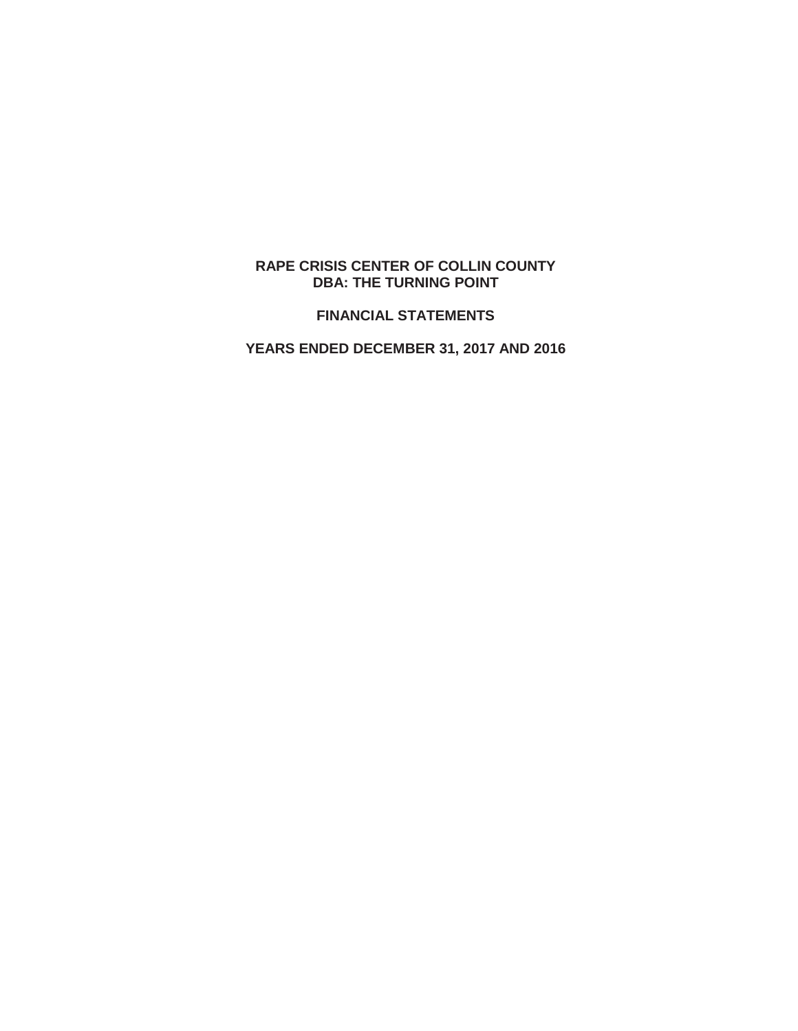### **RAPE CRISIS CENTER OF COLLIN COUNTY DBA: THE TURNING POINT**

**FINANCIAL STATEMENTS**

**YEARS ENDED DECEMBER 31, 2017 AND 2016**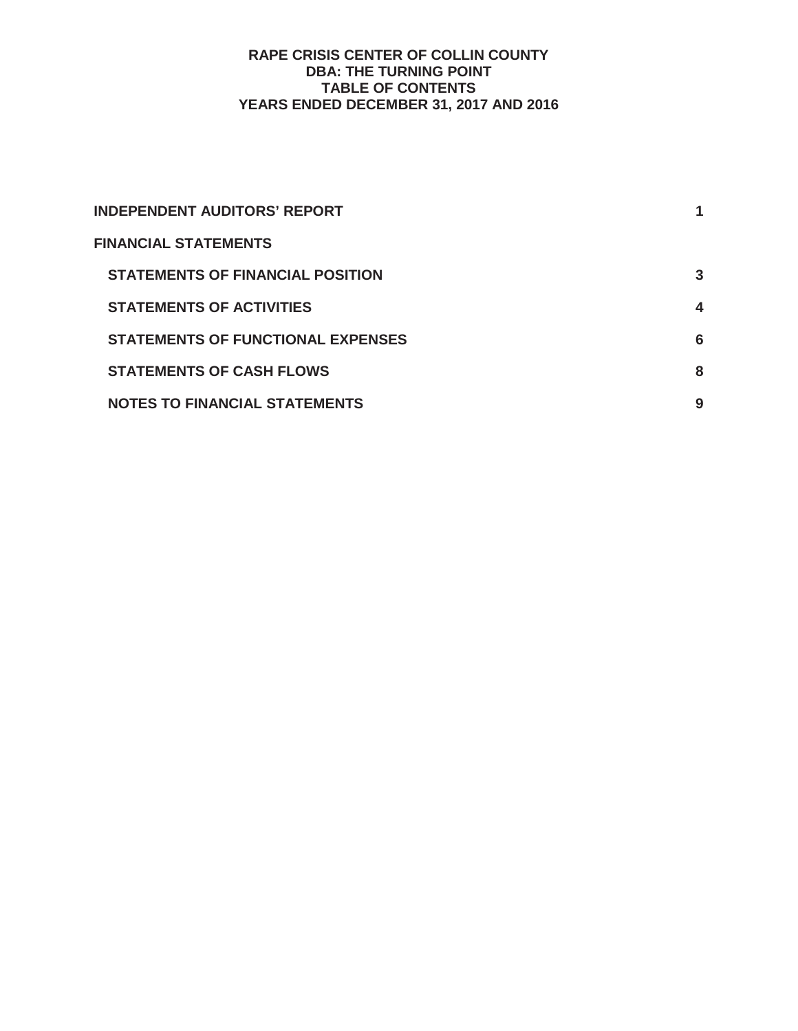### **RAPE CRISIS CENTER OF COLLIN COUNTY DBA: THE TURNING POINT TABLE OF CONTENTS YEARS ENDED DECEMBER 31, 2017 AND 2016**

| <b>INDEPENDENT AUDITORS' REPORT</b>      |                         |
|------------------------------------------|-------------------------|
| <b>FINANCIAL STATEMENTS</b>              |                         |
| <b>STATEMENTS OF FINANCIAL POSITION</b>  | 3                       |
| <b>STATEMENTS OF ACTIVITIES</b>          | $\overline{\mathbf{4}}$ |
| <b>STATEMENTS OF FUNCTIONAL EXPENSES</b> | 6                       |
| <b>STATEMENTS OF CASH FLOWS</b>          | 8                       |
| <b>NOTES TO FINANCIAL STATEMENTS</b>     | 9                       |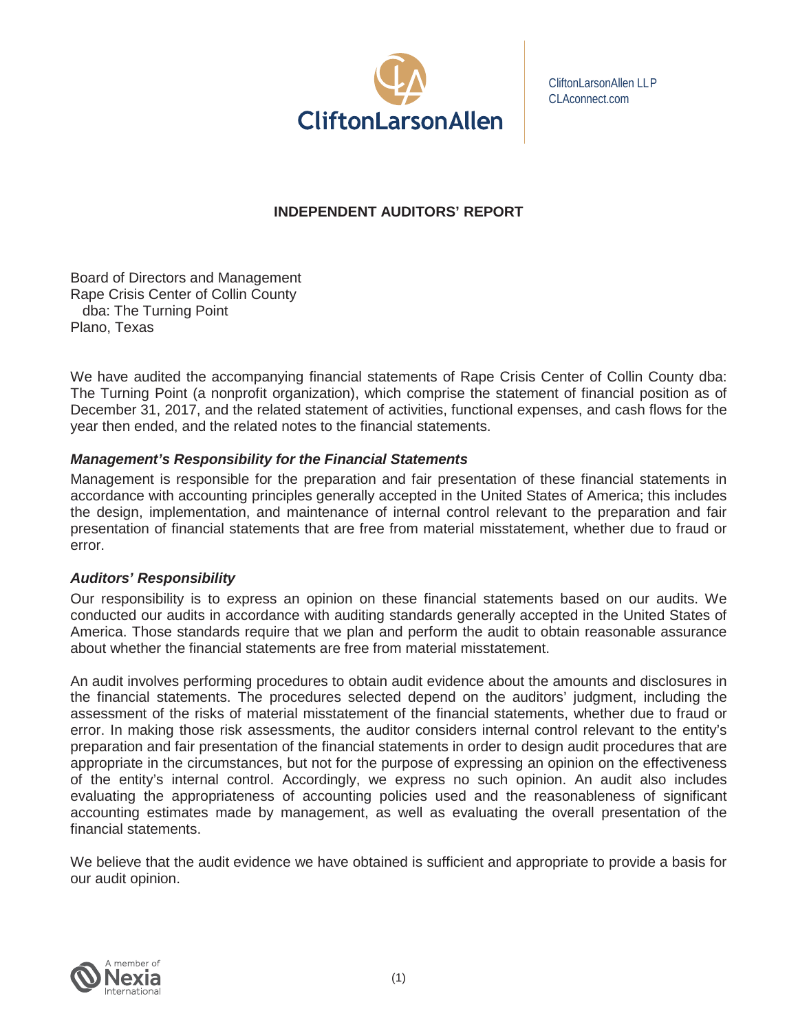

CliftonLarsonAllen LLP CLAconnect.com

# **INDEPENDENT AUDITORS' REPORT**

Board of Directors and Management Rape Crisis Center of Collin County dba: The Turning Point Plano, Texas

We have audited the accompanying financial statements of Rape Crisis Center of Collin County dba: The Turning Point (a nonprofit organization), which comprise the statement of financial position as of December 31, 2017, and the related statement of activities, functional expenses, and cash flows for the year then ended, and the related notes to the financial statements.

## *Management's Responsibility for the Financial Statements*

Management is responsible for the preparation and fair presentation of these financial statements in accordance with accounting principles generally accepted in the United States of America; this includes the design, implementation, and maintenance of internal control relevant to the preparation and fair presentation of financial statements that are free from material misstatement, whether due to fraud or error.

# *Auditors' Responsibility*

Our responsibility is to express an opinion on these financial statements based on our audits. We conducted our audits in accordance with auditing standards generally accepted in the United States of America. Those standards require that we plan and perform the audit to obtain reasonable assurance about whether the financial statements are free from material misstatement.

An audit involves performing procedures to obtain audit evidence about the amounts and disclosures in the financial statements. The procedures selected depend on the auditors' judgment, including the assessment of the risks of material misstatement of the financial statements, whether due to fraud or error. In making those risk assessments, the auditor considers internal control relevant to the entity's preparation and fair presentation of the financial statements in order to design audit procedures that are appropriate in the circumstances, but not for the purpose of expressing an opinion on the effectiveness of the entity's internal control. Accordingly, we express no such opinion. An audit also includes evaluating the appropriateness of accounting policies used and the reasonableness of significant accounting estimates made by management, as well as evaluating the overall presentation of the financial statements.

We believe that the audit evidence we have obtained is sufficient and appropriate to provide a basis for our audit opinion.

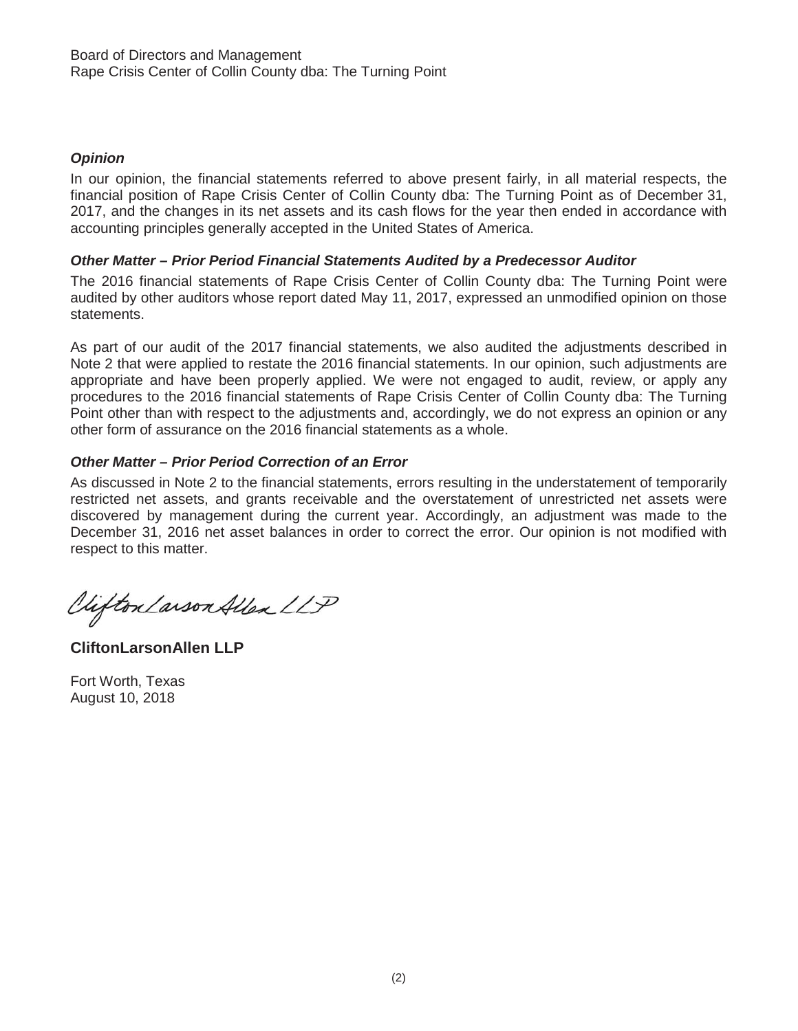## *Opinion*

In our opinion, the financial statements referred to above present fairly, in all material respects, the financial position of Rape Crisis Center of Collin County dba: The Turning Point as of December 31, 2017, and the changes in its net assets and its cash flows for the year then ended in accordance with accounting principles generally accepted in the United States of America.

## *Other Matter – Prior Period Financial Statements Audited by a Predecessor Auditor*

The 2016 financial statements of Rape Crisis Center of Collin County dba: The Turning Point were audited by other auditors whose report dated May 11, 2017, expressed an unmodified opinion on those statements.

As part of our audit of the 2017 financial statements, we also audited the adjustments described in Note 2 that were applied to restate the 2016 financial statements. In our opinion, such adjustments are appropriate and have been properly applied. We were not engaged to audit, review, or apply any procedures to the 2016 financial statements of Rape Crisis Center of Collin County dba: The Turning Point other than with respect to the adjustments and, accordingly, we do not express an opinion or any other form of assurance on the 2016 financial statements as a whole.

## *Other Matter – Prior Period Correction of an Error*

As discussed in Note 2 to the financial statements, errors resulting in the understatement of temporarily restricted net assets, and grants receivable and the overstatement of unrestricted net assets were discovered by management during the current year. Accordingly, an adjustment was made to the December 31, 2016 net asset balances in order to correct the error. Our opinion is not modified with respect to this matter.

Clifton Larson Allen LLP

**CliftonLarsonAllen LLP**

Fort Worth, Texas August 10, 2018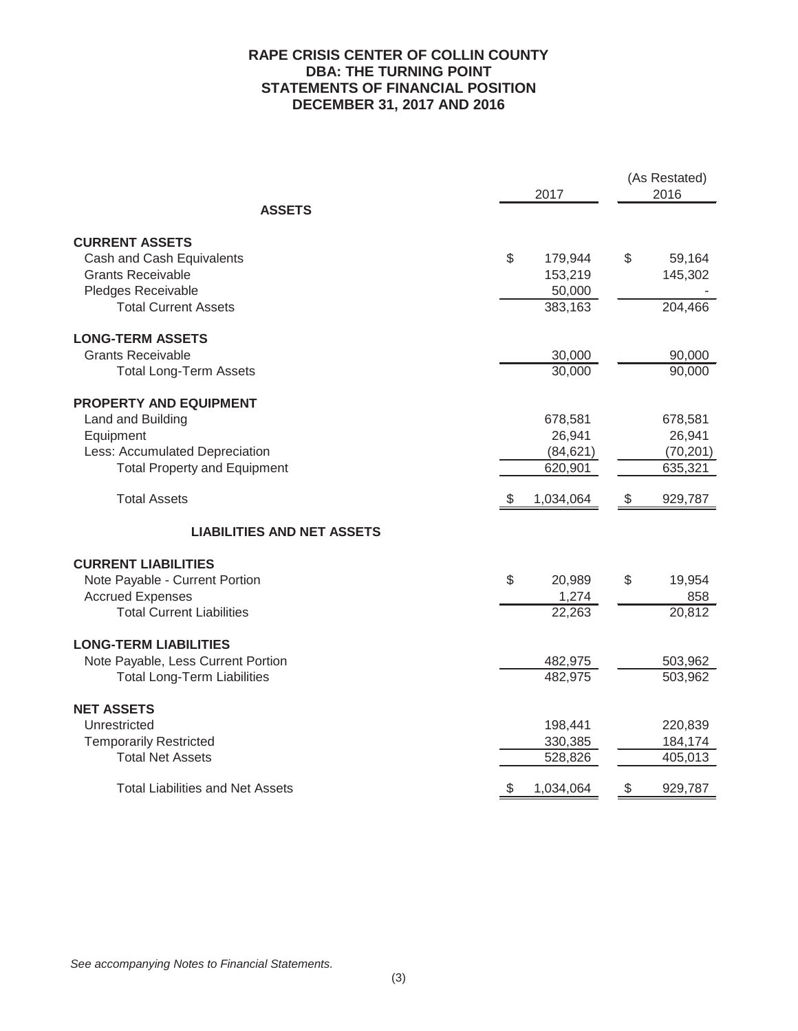### **RAPE CRISIS CENTER OF COLLIN COUNTY DBA: THE TURNING POINT STATEMENTS OF FINANCIAL POSITION DECEMBER 31, 2017 AND 2016**

|                                     | 2017            | (As Restated)<br>2016 |
|-------------------------------------|-----------------|-----------------------|
| <b>ASSETS</b>                       |                 |                       |
| <b>CURRENT ASSETS</b>               |                 |                       |
| Cash and Cash Equivalents           | \$<br>179,944   | \$<br>59,164          |
| <b>Grants Receivable</b>            | 153,219         | 145,302               |
| Pledges Receivable                  | 50,000          |                       |
| <b>Total Current Assets</b>         | 383,163         | 204,466               |
| <b>LONG-TERM ASSETS</b>             |                 |                       |
| <b>Grants Receivable</b>            | 30,000          | 90,000                |
| <b>Total Long-Term Assets</b>       | 30,000          | 90,000                |
| <b>PROPERTY AND EQUIPMENT</b>       |                 |                       |
| Land and Building                   | 678,581         | 678,581               |
| Equipment                           | 26,941          | 26,941                |
| Less: Accumulated Depreciation      | (84, 621)       | (70, 201)             |
| <b>Total Property and Equipment</b> | 620,901         | 635,321               |
| <b>Total Assets</b>                 | \$<br>1,034,064 | \$<br>929,787         |
| <b>LIABILITIES AND NET ASSETS</b>   |                 |                       |
|                                     |                 |                       |
| <b>CURRENT LIABILITIES</b>          |                 |                       |
| Note Payable - Current Portion      | \$<br>20,989    | \$<br>19,954          |
| <b>Accrued Expenses</b>             | 1,274           | 858                   |
| <b>Total Current Liabilities</b>    | 22,263          | 20,812                |
| <b>LONG-TERM LIABILITIES</b>        |                 |                       |
| Note Payable, Less Current Portion  | 482,975         | 503,962               |
| <b>Total Long-Term Liabilities</b>  | 482,975         | 503,962               |
| <b>NET ASSETS</b>                   |                 |                       |
| Unrestricted                        | 198,441         | 220,839               |
| <b>Temporarily Restricted</b>       | 330,385         | 184,174               |
| <b>Total Net Assets</b>             | 528,826         | 405,013               |

*See accompanying Notes to Financial Statements.*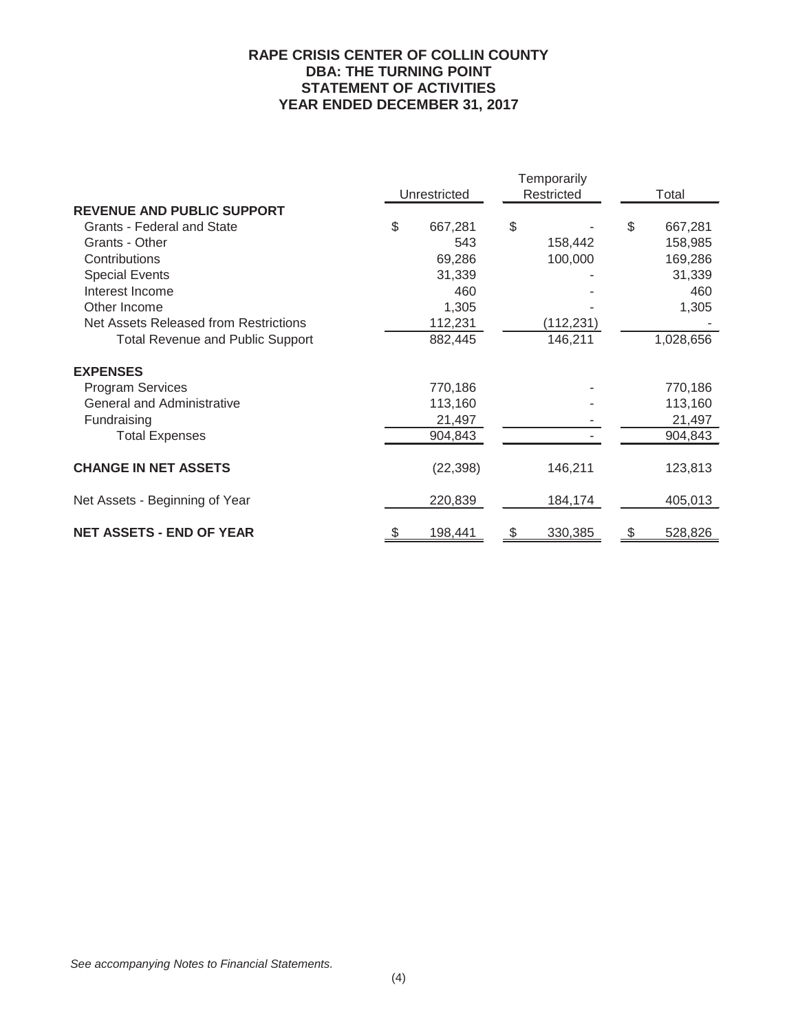### **RAPE CRISIS CENTER OF COLLIN COUNTY DBA: THE TURNING POINT STATEMENT OF ACTIVITIES YEAR ENDED DECEMBER 31, 2017**

|                                         |               |           | Temporarily |               |
|-----------------------------------------|---------------|-----------|-------------|---------------|
|                                         | Unrestricted  |           | Restricted  | Total         |
| <b>REVENUE AND PUBLIC SUPPORT</b>       |               |           |             |               |
| Grants - Federal and State              | \$<br>667,281 | \$        |             | \$<br>667,281 |
| Grants - Other                          | 543           |           | 158,442     | 158,985       |
| Contributions                           | 69,286        |           | 100,000     | 169,286       |
| <b>Special Events</b>                   | 31,339        |           |             | 31,339        |
| Interest Income                         | 460           |           |             | 460           |
| Other Income                            | 1,305         |           |             | 1,305         |
| Net Assets Released from Restrictions   | 112,231       |           | (112,231)   |               |
| <b>Total Revenue and Public Support</b> | 882,445       |           | 146,211     | 1,028,656     |
| <b>EXPENSES</b>                         |               |           |             |               |
| <b>Program Services</b>                 | 770,186       |           |             | 770,186       |
| <b>General and Administrative</b>       | 113,160       |           |             | 113,160       |
| Fundraising                             | 21,497        |           |             | 21,497        |
| <b>Total Expenses</b>                   | 904,843       |           |             | 904,843       |
| <b>CHANGE IN NET ASSETS</b>             | (22, 398)     |           | 146,211     | 123,813       |
| Net Assets - Beginning of Year          | 220,839       |           | 184,174     | 405,013       |
| <b>NET ASSETS - END OF YEAR</b>         | 198,441       | <u>\$</u> | 330,385     | \$<br>528,826 |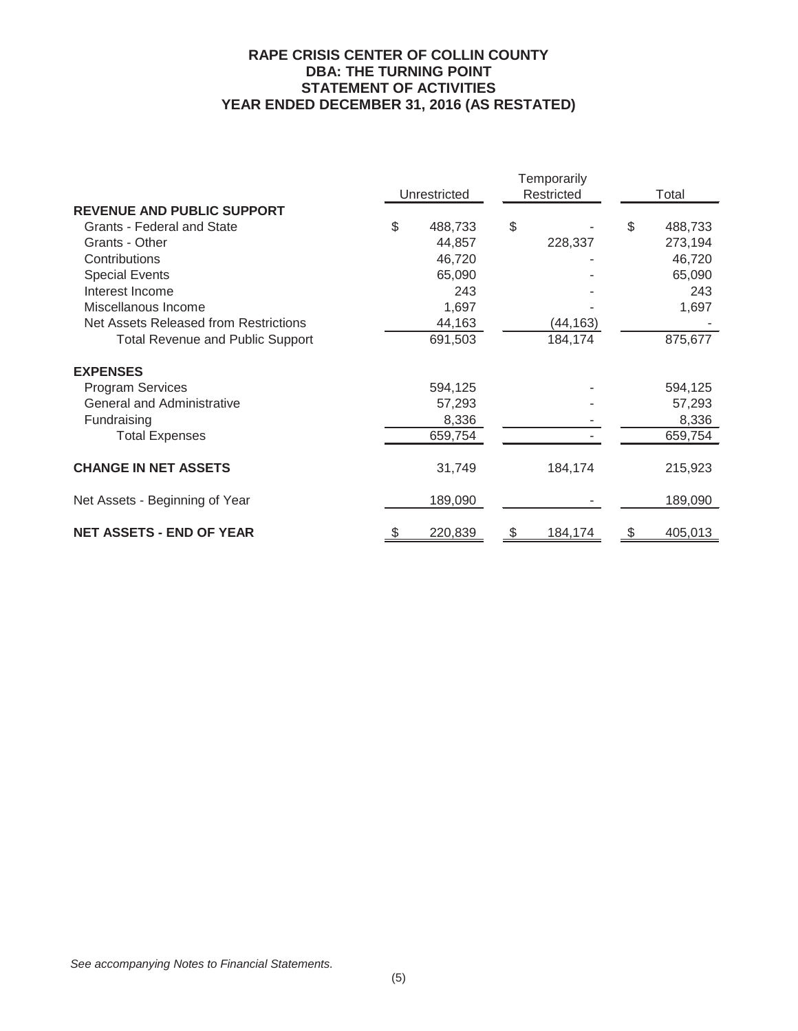### **RAPE CRISIS CENTER OF COLLIN COUNTY DBA: THE TURNING POINT STATEMENT OF ACTIVITIES YEAR ENDED DECEMBER 31, 2016 (AS RESTATED)**

|                                         |               | Temporarily   |               |
|-----------------------------------------|---------------|---------------|---------------|
|                                         | Unrestricted  | Restricted    | Total         |
| <b>REVENUE AND PUBLIC SUPPORT</b>       |               |               |               |
| Grants - Federal and State              | \$<br>488,733 | \$            | \$<br>488,733 |
| Grants - Other                          | 44,857        | 228,337       | 273,194       |
| Contributions                           | 46,720        |               | 46,720        |
| <b>Special Events</b>                   | 65,090        |               | 65,090        |
| Interest Income                         | 243           |               | 243           |
| Miscellanous Income                     | 1,697         |               | 1,697         |
| Net Assets Released from Restrictions   | 44,163        | (44, 163)     |               |
| <b>Total Revenue and Public Support</b> | 691,503       | 184,174       | 875,677       |
| <b>EXPENSES</b>                         |               |               |               |
| <b>Program Services</b>                 | 594,125       |               | 594,125       |
| <b>General and Administrative</b>       | 57,293        |               | 57,293        |
| Fundraising                             | 8,336         |               | 8,336         |
| <b>Total Expenses</b>                   | 659,754       |               | 659,754       |
| <b>CHANGE IN NET ASSETS</b>             | 31,749        | 184,174       | 215,923       |
| Net Assets - Beginning of Year          | 189,090       |               | 189,090       |
| <b>NET ASSETS - END OF YEAR</b>         | 220,839       | \$<br>184,174 | \$<br>405,013 |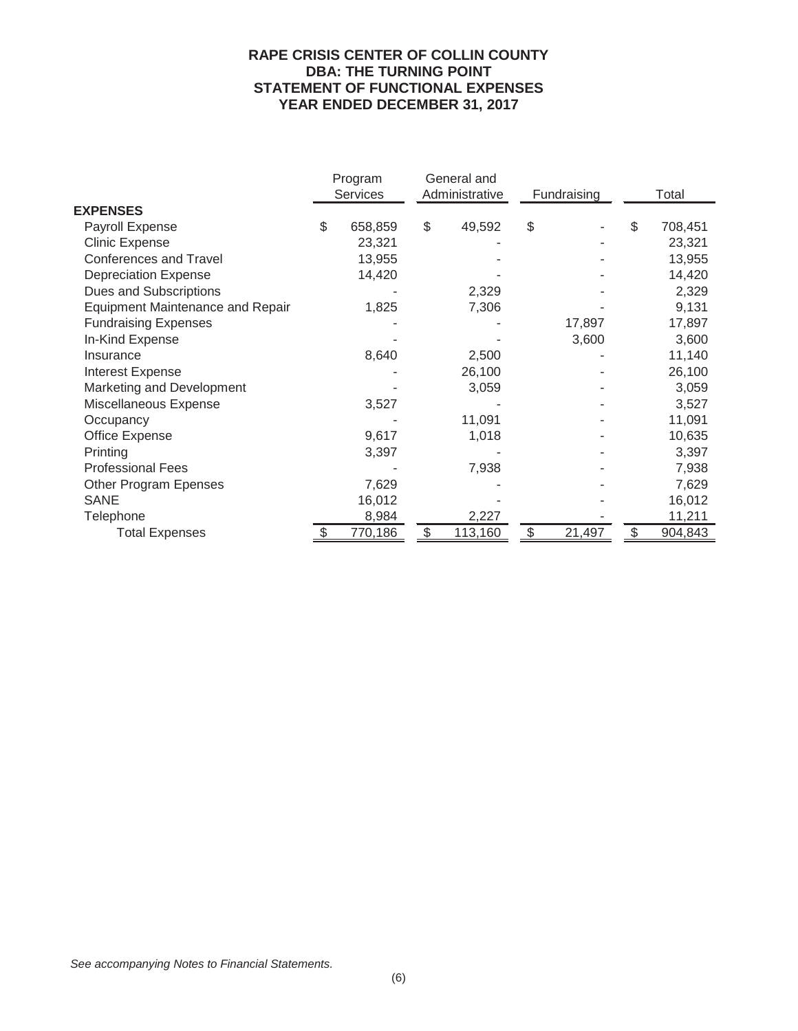### **RAPE CRISIS CENTER OF COLLIN COUNTY DBA: THE TURNING POINT STATEMENT OF FUNCTIONAL EXPENSES YEAR ENDED DECEMBER 31, 2017**

|                                         | Program         | General and    |              |               |
|-----------------------------------------|-----------------|----------------|--------------|---------------|
|                                         | <b>Services</b> | Administrative | Fundraising  | Total         |
| <b>EXPENSES</b>                         |                 |                |              |               |
| Payroll Expense                         | \$<br>658,859   | \$<br>49,592   | \$           | \$<br>708,451 |
| <b>Clinic Expense</b>                   | 23,321          |                |              | 23,321        |
| Conferences and Travel                  | 13,955          |                |              | 13,955        |
| <b>Depreciation Expense</b>             | 14,420          |                |              | 14,420        |
| Dues and Subscriptions                  |                 | 2,329          |              | 2,329         |
| <b>Equipment Maintenance and Repair</b> | 1,825           | 7,306          |              | 9,131         |
| <b>Fundraising Expenses</b>             |                 |                | 17,897       | 17,897        |
| In-Kind Expense                         |                 |                | 3,600        | 3,600         |
| Insurance                               | 8,640           | 2,500          |              | 11,140        |
| Interest Expense                        |                 | 26,100         |              | 26,100        |
| Marketing and Development               |                 | 3,059          |              | 3,059         |
| Miscellaneous Expense                   | 3,527           |                |              | 3,527         |
| Occupancy                               |                 | 11,091         |              | 11,091        |
| Office Expense                          | 9,617           | 1,018          |              | 10,635        |
| Printing                                | 3,397           |                |              | 3,397         |
| <b>Professional Fees</b>                |                 | 7,938          |              | 7,938         |
| Other Program Epenses                   | 7,629           |                |              | 7,629         |
| <b>SANE</b>                             | 16,012          |                |              | 16,012        |
| Telephone                               | 8,984           | 2,227          |              | 11,211        |
| <b>Total Expenses</b>                   | 770,186         | \$<br>113,160  | \$<br>21,497 | \$<br>904,843 |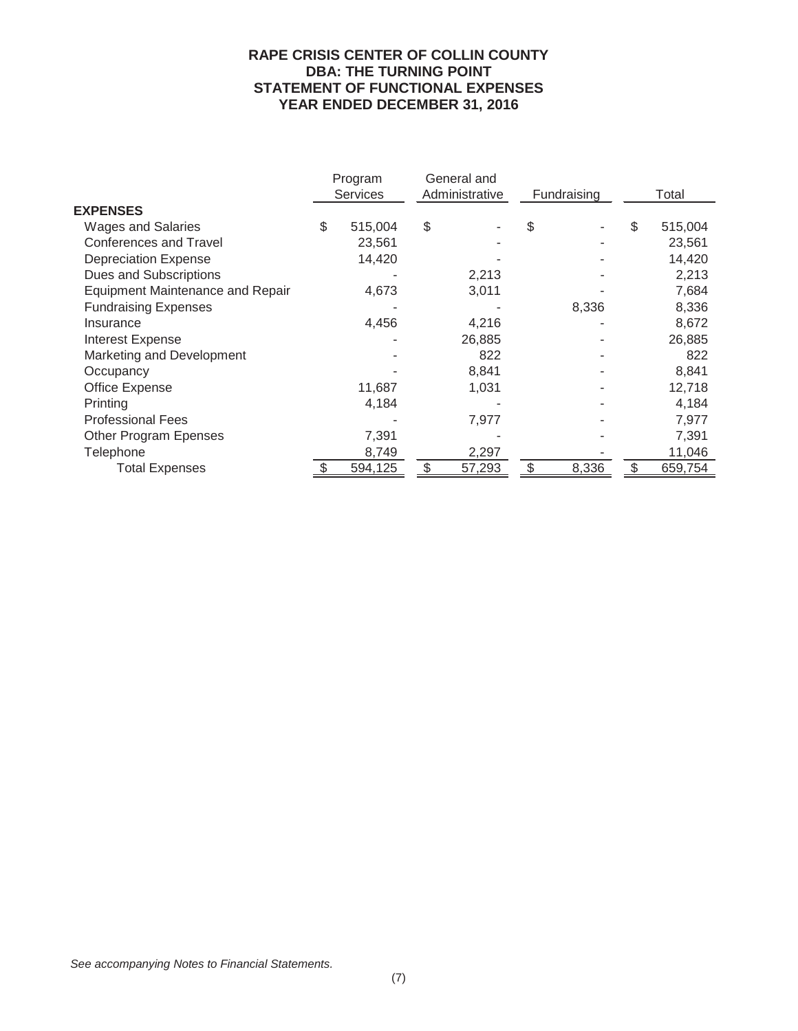### **RAPE CRISIS CENTER OF COLLIN COUNTY DBA: THE TURNING POINT STATEMENT OF FUNCTIONAL EXPENSES YEAR ENDED DECEMBER 31, 2016**

|                                         | Program         | General and    |             |   |         |
|-----------------------------------------|-----------------|----------------|-------------|---|---------|
|                                         | <b>Services</b> | Administrative | Fundraising |   | Total   |
| <b>EXPENSES</b>                         |                 |                |             |   |         |
| <b>Wages and Salaries</b>               | \$<br>515,004   | \$             | \$          | S | 515,004 |
| <b>Conferences and Travel</b>           | 23,561          |                |             |   | 23,561  |
| <b>Depreciation Expense</b>             | 14,420          |                |             |   | 14,420  |
| Dues and Subscriptions                  |                 | 2,213          |             |   | 2,213   |
| <b>Equipment Maintenance and Repair</b> | 4,673           | 3,011          |             |   | 7,684   |
| <b>Fundraising Expenses</b>             |                 |                | 8,336       |   | 8,336   |
| Insurance                               | 4,456           | 4,216          |             |   | 8,672   |
| <b>Interest Expense</b>                 |                 | 26,885         |             |   | 26,885  |
| Marketing and Development               |                 | 822            |             |   | 822     |
| Occupancy                               |                 | 8,841          |             |   | 8,841   |
| <b>Office Expense</b>                   | 11,687          | 1,031          |             |   | 12,718  |
| Printing                                | 4,184           |                |             |   | 4,184   |
| <b>Professional Fees</b>                |                 | 7,977          |             |   | 7,977   |
| <b>Other Program Epenses</b>            | 7,391           |                |             |   | 7,391   |
| Telephone                               | 8,749           | 2,297          |             |   | 11,046  |
| <b>Total Expenses</b>                   | 594,125         | 57,293         | 8,336       |   | 659,754 |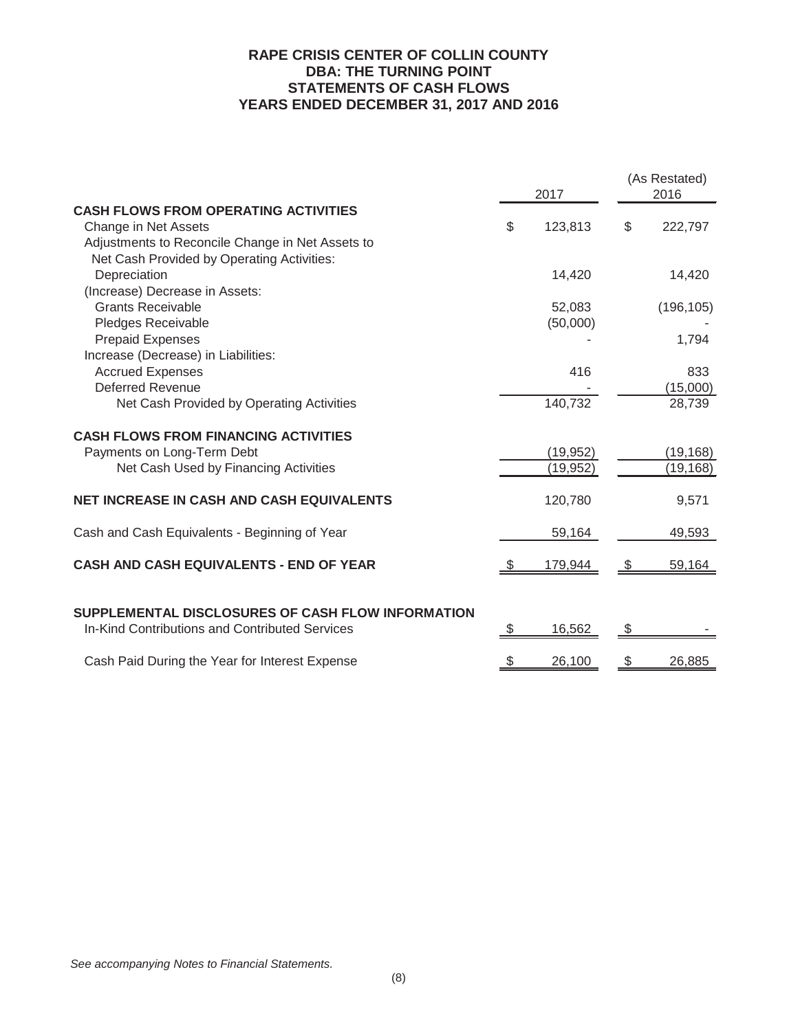### **RAPE CRISIS CENTER OF COLLIN COUNTY DBA: THE TURNING POINT STATEMENTS OF CASH FLOWS YEARS ENDED DECEMBER 31, 2017 AND 2016**

|                                                   | 2017          |      | (As Restated)<br>2016 |
|---------------------------------------------------|---------------|------|-----------------------|
| <b>CASH FLOWS FROM OPERATING ACTIVITIES</b>       |               |      |                       |
| Change in Net Assets                              | \$<br>123,813 | \$   | 222,797               |
| Adjustments to Reconcile Change in Net Assets to  |               |      |                       |
| Net Cash Provided by Operating Activities:        |               |      |                       |
| Depreciation                                      | 14,420        |      | 14,420                |
| (Increase) Decrease in Assets:                    |               |      |                       |
| <b>Grants Receivable</b>                          | 52,083        |      | (196, 105)            |
| Pledges Receivable                                | (50,000)      |      |                       |
| <b>Prepaid Expenses</b>                           |               |      | 1,794                 |
| Increase (Decrease) in Liabilities:               |               |      |                       |
| <b>Accrued Expenses</b>                           | 416           |      | 833                   |
| <b>Deferred Revenue</b>                           |               |      | (15,000)              |
| Net Cash Provided by Operating Activities         | 140,732       |      | 28,739                |
| <b>CASH FLOWS FROM FINANCING ACTIVITIES</b>       |               |      |                       |
| Payments on Long-Term Debt                        | (19, 952)     |      | (19, 168)             |
| Net Cash Used by Financing Activities             | (19,952)      |      | (19,168)              |
| <b>NET INCREASE IN CASH AND CASH EQUIVALENTS</b>  | 120,780       |      | 9,571                 |
| Cash and Cash Equivalents - Beginning of Year     | 59,164        |      | 49,593                |
| CASH AND CASH EQUIVALENTS - END OF YEAR           | 179,944       | \$   | 59,164                |
|                                                   |               |      |                       |
| SUPPLEMENTAL DISCLOSURES OF CASH FLOW INFORMATION |               |      |                       |
| In-Kind Contributions and Contributed Services    | 16,562        | - \$ |                       |
| Cash Paid During the Year for Interest Expense    | \$<br>26,100  | \$   | 26,885                |

*See accompanying Notes to Financial Statements.*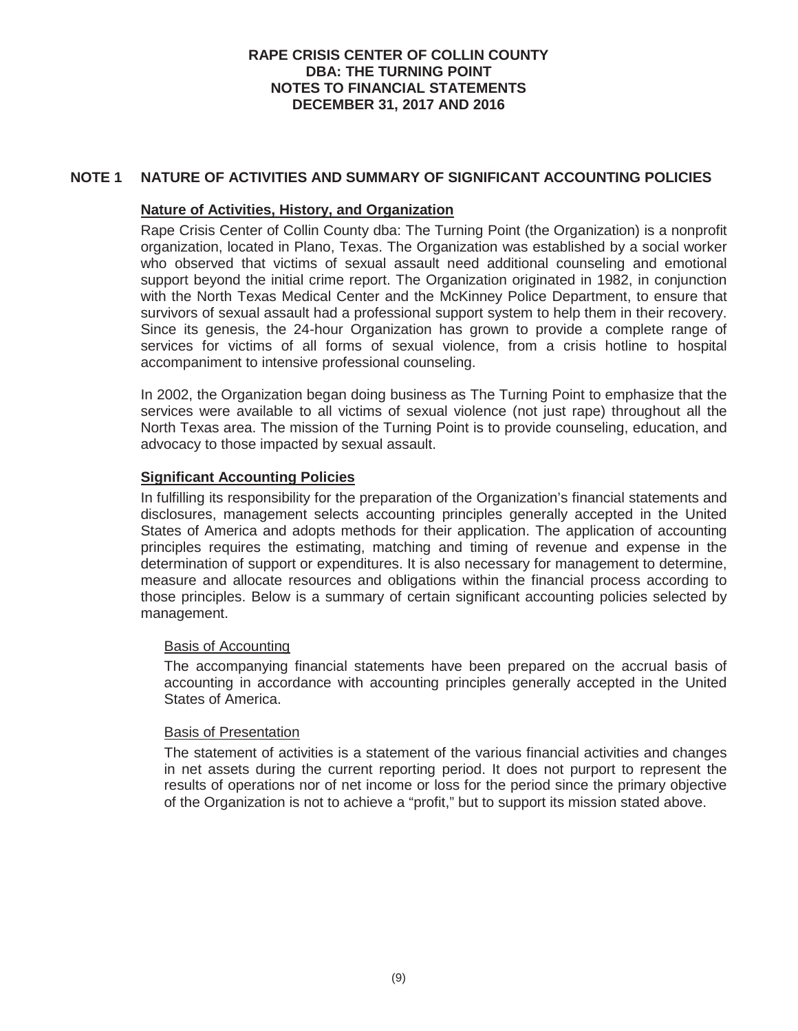# **NOTE 1 NATURE OF ACTIVITIES AND SUMMARY OF SIGNIFICANT ACCOUNTING POLICIES**

## **Nature of Activities, History, and Organization**

Rape Crisis Center of Collin County dba: The Turning Point (the Organization) is a nonprofit organization, located in Plano, Texas. The Organization was established by a social worker who observed that victims of sexual assault need additional counseling and emotional support beyond the initial crime report. The Organization originated in 1982, in conjunction with the North Texas Medical Center and the McKinney Police Department, to ensure that survivors of sexual assault had a professional support system to help them in their recovery. Since its genesis, the 24-hour Organization has grown to provide a complete range of services for victims of all forms of sexual violence, from a crisis hotline to hospital accompaniment to intensive professional counseling.

In 2002, the Organization began doing business as The Turning Point to emphasize that the services were available to all victims of sexual violence (not just rape) throughout all the North Texas area. The mission of the Turning Point is to provide counseling, education, and advocacy to those impacted by sexual assault.

#### **Significant Accounting Policies**

In fulfilling its responsibility for the preparation of the Organization's financial statements and disclosures, management selects accounting principles generally accepted in the United States of America and adopts methods for their application. The application of accounting principles requires the estimating, matching and timing of revenue and expense in the determination of support or expenditures. It is also necessary for management to determine, measure and allocate resources and obligations within the financial process according to those principles. Below is a summary of certain significant accounting policies selected by management.

#### Basis of Accounting

The accompanying financial statements have been prepared on the accrual basis of accounting in accordance with accounting principles generally accepted in the United States of America.

#### Basis of Presentation

The statement of activities is a statement of the various financial activities and changes in net assets during the current reporting period. It does not purport to represent the results of operations nor of net income or loss for the period since the primary objective of the Organization is not to achieve a "profit," but to support its mission stated above.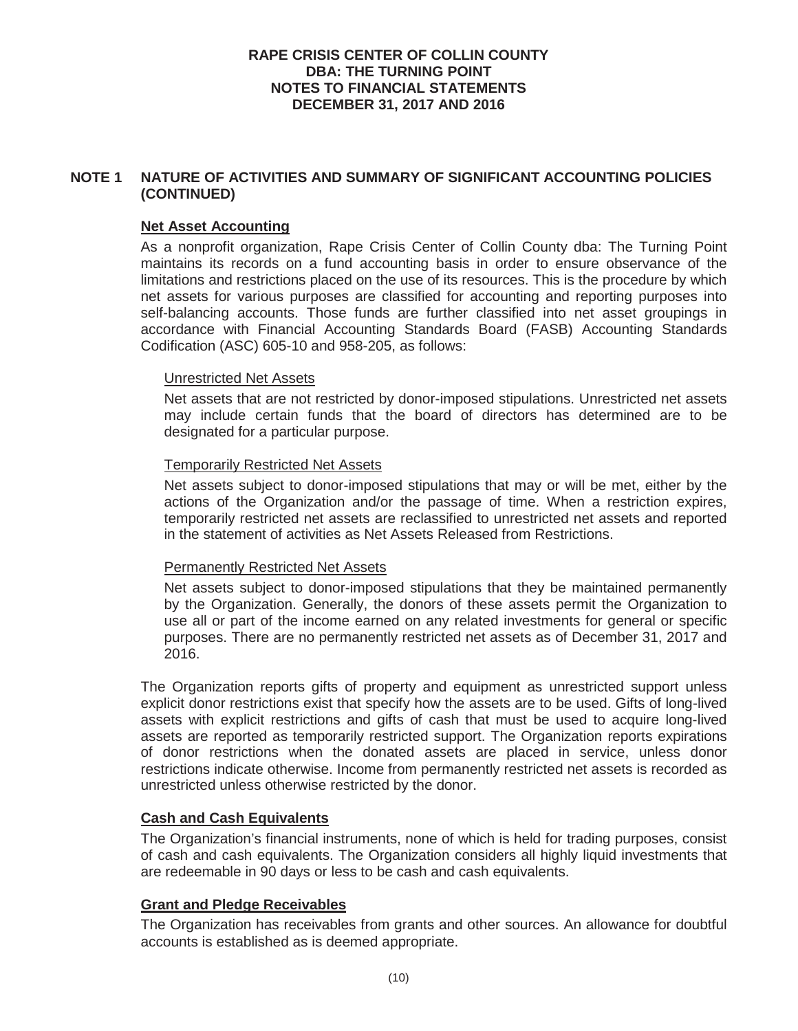### **NOTE 1 NATURE OF ACTIVITIES AND SUMMARY OF SIGNIFICANT ACCOUNTING POLICIES (CONTINUED)**

#### **Net Asset Accounting**

As a nonprofit organization, Rape Crisis Center of Collin County dba: The Turning Point maintains its records on a fund accounting basis in order to ensure observance of the limitations and restrictions placed on the use of its resources. This is the procedure by which net assets for various purposes are classified for accounting and reporting purposes into self-balancing accounts. Those funds are further classified into net asset groupings in accordance with Financial Accounting Standards Board (FASB) Accounting Standards Codification (ASC) 605-10 and 958-205, as follows:

#### Unrestricted Net Assets

Net assets that are not restricted by donor-imposed stipulations. Unrestricted net assets may include certain funds that the board of directors has determined are to be designated for a particular purpose.

#### Temporarily Restricted Net Assets

Net assets subject to donor-imposed stipulations that may or will be met, either by the actions of the Organization and/or the passage of time. When a restriction expires, temporarily restricted net assets are reclassified to unrestricted net assets and reported in the statement of activities as Net Assets Released from Restrictions.

#### Permanently Restricted Net Assets

Net assets subject to donor-imposed stipulations that they be maintained permanently by the Organization. Generally, the donors of these assets permit the Organization to use all or part of the income earned on any related investments for general or specific purposes. There are no permanently restricted net assets as of December 31, 2017 and 2016.

The Organization reports gifts of property and equipment as unrestricted support unless explicit donor restrictions exist that specify how the assets are to be used. Gifts of long-lived assets with explicit restrictions and gifts of cash that must be used to acquire long-lived assets are reported as temporarily restricted support. The Organization reports expirations of donor restrictions when the donated assets are placed in service, unless donor restrictions indicate otherwise. Income from permanently restricted net assets is recorded as unrestricted unless otherwise restricted by the donor.

#### **Cash and Cash Equivalents**

The Organization's financial instruments, none of which is held for trading purposes, consist of cash and cash equivalents. The Organization considers all highly liquid investments that are redeemable in 90 days or less to be cash and cash equivalents.

### **Grant and Pledge Receivables**

The Organization has receivables from grants and other sources. An allowance for doubtful accounts is established as is deemed appropriate.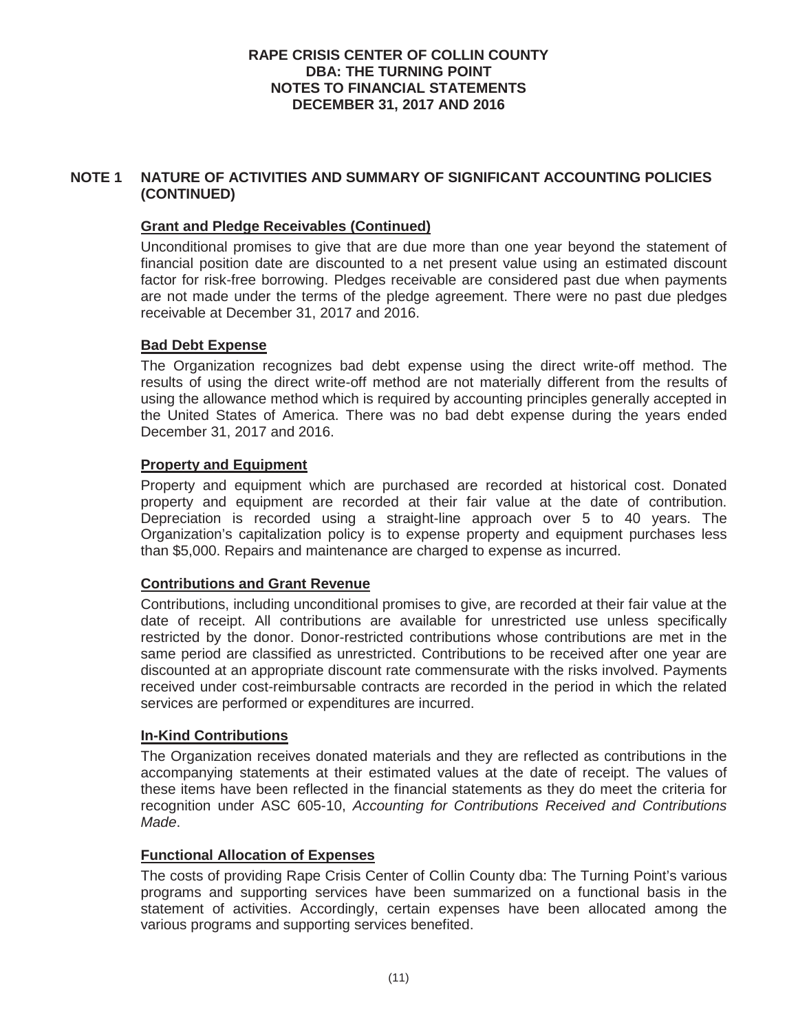## **NOTE 1 NATURE OF ACTIVITIES AND SUMMARY OF SIGNIFICANT ACCOUNTING POLICIES (CONTINUED)**

### **Grant and Pledge Receivables (Continued)**

Unconditional promises to give that are due more than one year beyond the statement of financial position date are discounted to a net present value using an estimated discount factor for risk-free borrowing. Pledges receivable are considered past due when payments are not made under the terms of the pledge agreement. There were no past due pledges receivable at December 31, 2017 and 2016.

#### **Bad Debt Expense**

The Organization recognizes bad debt expense using the direct write-off method. The results of using the direct write-off method are not materially different from the results of using the allowance method which is required by accounting principles generally accepted in the United States of America. There was no bad debt expense during the years ended December 31, 2017 and 2016.

#### **Property and Equipment**

Property and equipment which are purchased are recorded at historical cost. Donated property and equipment are recorded at their fair value at the date of contribution. Depreciation is recorded using a straight-line approach over 5 to 40 years. The Organization's capitalization policy is to expense property and equipment purchases less than \$5,000. Repairs and maintenance are charged to expense as incurred.

### **Contributions and Grant Revenue**

Contributions, including unconditional promises to give, are recorded at their fair value at the date of receipt. All contributions are available for unrestricted use unless specifically restricted by the donor. Donor-restricted contributions whose contributions are met in the same period are classified as unrestricted. Contributions to be received after one year are discounted at an appropriate discount rate commensurate with the risks involved. Payments received under cost-reimbursable contracts are recorded in the period in which the related services are performed or expenditures are incurred.

### **In-Kind Contributions**

The Organization receives donated materials and they are reflected as contributions in the accompanying statements at their estimated values at the date of receipt. The values of these items have been reflected in the financial statements as they do meet the criteria for recognition under ASC 605-10, *Accounting for Contributions Received and Contributions Made*.

#### **Functional Allocation of Expenses**

The costs of providing Rape Crisis Center of Collin County dba: The Turning Point's various programs and supporting services have been summarized on a functional basis in the statement of activities. Accordingly, certain expenses have been allocated among the various programs and supporting services benefited.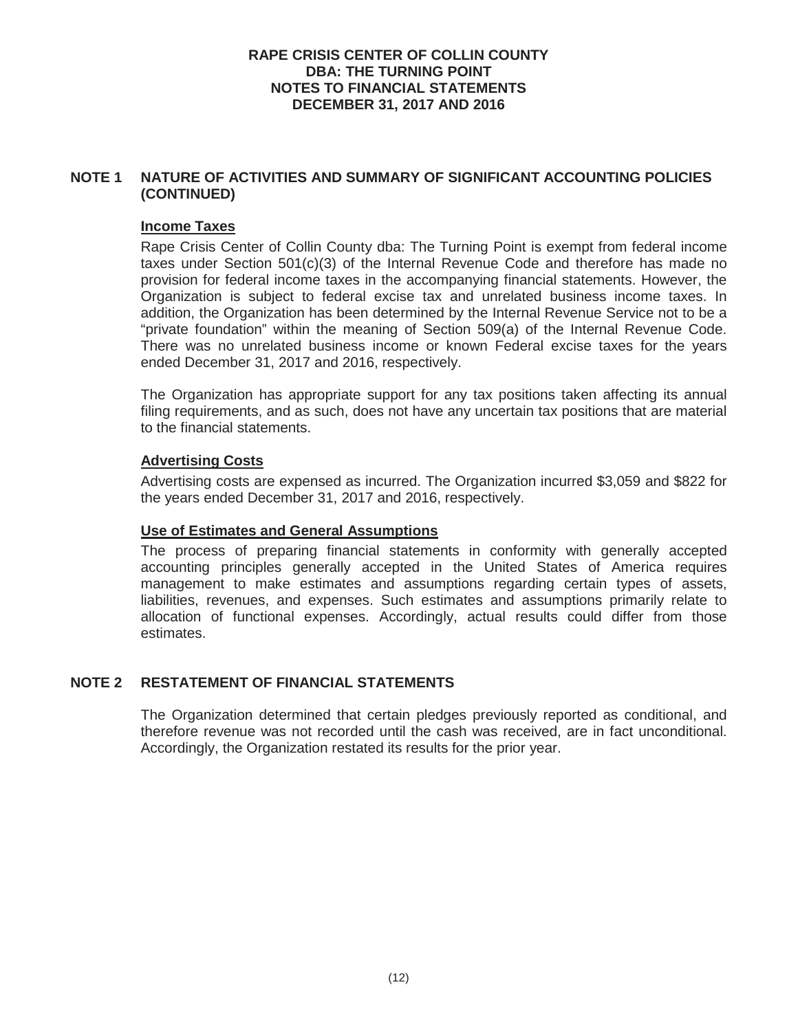### **NOTE 1 NATURE OF ACTIVITIES AND SUMMARY OF SIGNIFICANT ACCOUNTING POLICIES (CONTINUED)**

#### **Income Taxes**

Rape Crisis Center of Collin County dba: The Turning Point is exempt from federal income taxes under Section  $501(c)(3)$  of the Internal Revenue Code and therefore has made no provision for federal income taxes in the accompanying financial statements. However, the Organization is subject to federal excise tax and unrelated business income taxes. In addition, the Organization has been determined by the Internal Revenue Service not to be a "private foundation" within the meaning of Section 509(a) of the Internal Revenue Code. There was no unrelated business income or known Federal excise taxes for the years ended December 31, 2017 and 2016, respectively.

The Organization has appropriate support for any tax positions taken affecting its annual filing requirements, and as such, does not have any uncertain tax positions that are material to the financial statements.

### **Advertising Costs**

Advertising costs are expensed as incurred. The Organization incurred \$3,059 and \$822 for the years ended December 31, 2017 and 2016, respectively.

### **Use of Estimates and General Assumptions**

The process of preparing financial statements in conformity with generally accepted accounting principles generally accepted in the United States of America requires management to make estimates and assumptions regarding certain types of assets, liabilities, revenues, and expenses. Such estimates and assumptions primarily relate to allocation of functional expenses. Accordingly, actual results could differ from those estimates.

## **NOTE 2 RESTATEMENT OF FINANCIAL STATEMENTS**

The Organization determined that certain pledges previously reported as conditional, and therefore revenue was not recorded until the cash was received, are in fact unconditional. Accordingly, the Organization restated its results for the prior year.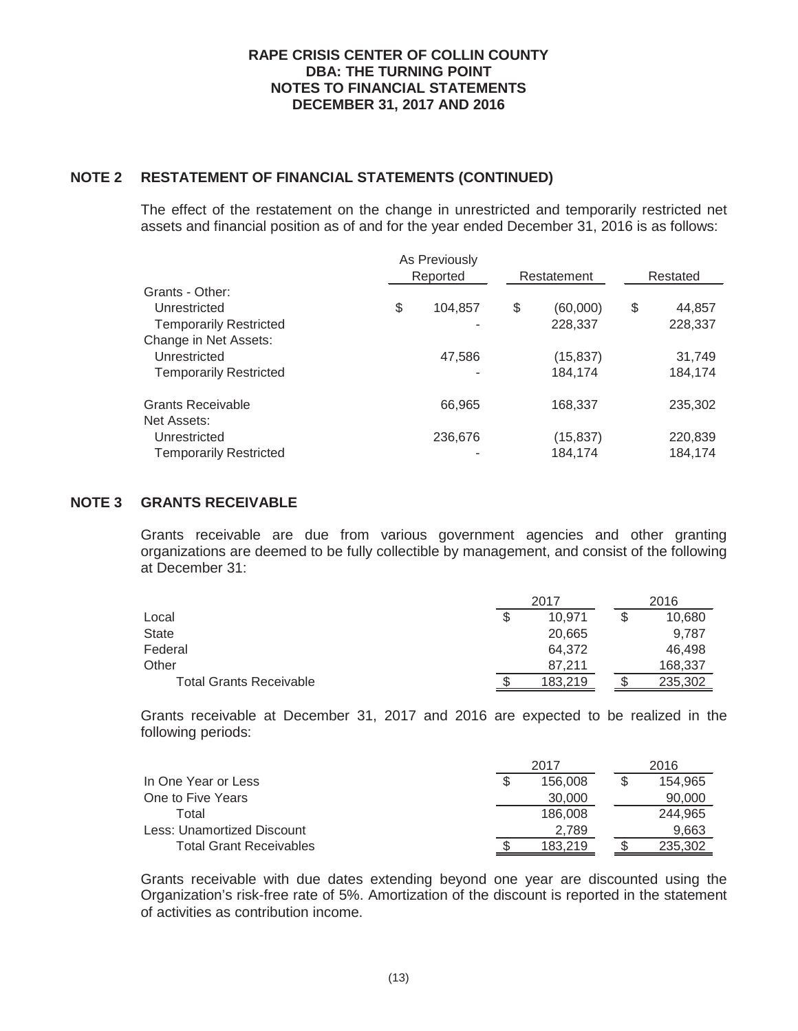# **NOTE 2 RESTATEMENT OF FINANCIAL STATEMENTS (CONTINUED)**

The effect of the restatement on the change in unrestricted and temporarily restricted net assets and financial position as of and for the year ended December 31, 2016 is as follows:

|                                                                  | As Previously<br>Reported | Restatement               | Restated                |
|------------------------------------------------------------------|---------------------------|---------------------------|-------------------------|
| Grants - Other:<br>Unrestricted<br><b>Temporarily Restricted</b> | \$<br>104,857             | \$<br>(60,000)<br>228,337 | \$<br>44,857<br>228,337 |
| Change in Net Assets:                                            |                           |                           |                         |
| Unrestricted<br><b>Temporarily Restricted</b>                    | 47,586                    | (15, 837)<br>184,174      | 31,749<br>184,174       |
|                                                                  |                           |                           |                         |
| <b>Grants Receivable</b><br>Net Assets:                          | 66,965                    | 168,337                   | 235,302                 |
| Unrestricted                                                     | 236,676                   | (15, 837)                 | 220,839                 |
| <b>Temporarily Restricted</b>                                    |                           | 184,174                   | 184,174                 |

### **NOTE 3 GRANTS RECEIVABLE**

Grants receivable are due from various government agencies and other granting organizations are deemed to be fully collectible by management, and consist of the following at December 31:

|                                |   | 2017    |   | 2016    |  |
|--------------------------------|---|---------|---|---------|--|
| Local                          | S | 10,971  | ጥ | 10,680  |  |
| <b>State</b>                   |   | 20,665  |   | 9.787   |  |
| Federal                        |   | 64.372  |   | 46,498  |  |
| Other                          |   | 87.211  |   | 168,337 |  |
| <b>Total Grants Receivable</b> |   | 183.219 |   | 235,302 |  |

Grants receivable at December 31, 2017 and 2016 are expected to be realized in the following periods:

|                                | 2017    |  | 2016    |
|--------------------------------|---------|--|---------|
| In One Year or Less            | 156,008 |  | 154.965 |
| One to Five Years              | 30,000  |  | 90,000  |
| Total                          | 186,008 |  | 244.965 |
| Less: Unamortized Discount     | 2.789   |  | 9.663   |
| <b>Total Grant Receivables</b> | 183.219 |  | 235,302 |

Grants receivable with due dates extending beyond one year are discounted using the Organization's risk-free rate of 5%. Amortization of the discount is reported in the statement of activities as contribution income.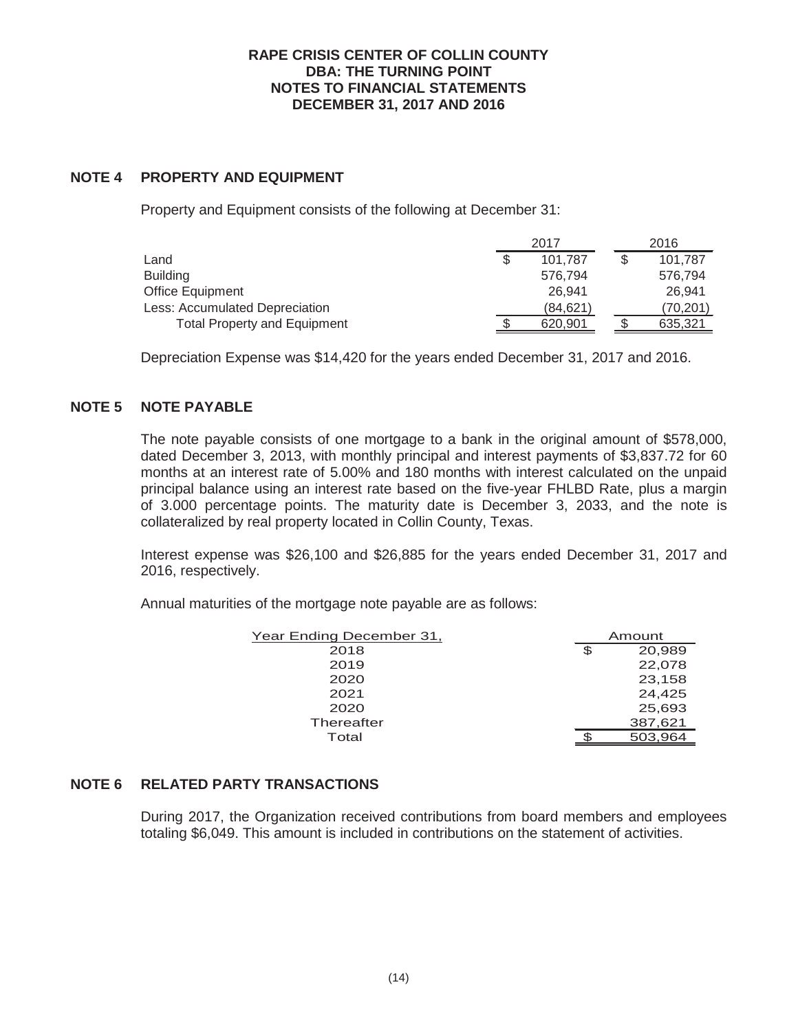### **NOTE 4 PROPERTY AND EQUIPMENT**

Property and Equipment consists of the following at December 31:

|                                     | 2017     | 2016      |
|-------------------------------------|----------|-----------|
| Land                                | 101.787  | 101.787   |
| Building                            | 576.794  | 576.794   |
| <b>Office Equipment</b>             | 26.941   | 26.941    |
| Less: Accumulated Depreciation      | (84,621) | (70, 201) |
| <b>Total Property and Equipment</b> | 620.901  | 635,321   |

Depreciation Expense was \$14,420 for the years ended December 31, 2017 and 2016.

### **NOTE 5 NOTE PAYABLE**

The note payable consists of one mortgage to a bank in the original amount of \$578,000, dated December 3, 2013, with monthly principal and interest payments of \$3,837.72 for 60 months at an interest rate of 5.00% and 180 months with interest calculated on the unpaid principal balance using an interest rate based on the five-year FHLBD Rate, plus a margin of 3.000 percentage points. The maturity date is December 3, 2033, and the note is collateralized by real property located in Collin County, Texas.

Interest expense was \$26,100 and \$26,885 for the years ended December 31, 2017 and 2016, respectively.

Annual maturities of the mortgage note payable are as follows:

| Year Ending December 31, | Amount       |
|--------------------------|--------------|
| 2018                     | \$<br>20,989 |
| 2019                     | 22,078       |
| 2020                     | 23,158       |
| 2021                     | 24,425       |
| 2020                     | 25,693       |
| Thereafter               | 387,621      |
| Total                    | 503,964      |
|                          |              |

### **NOTE 6 RELATED PARTY TRANSACTIONS**

During 2017, the Organization received contributions from board members and employees totaling \$6,049. This amount is included in contributions on the statement of activities.